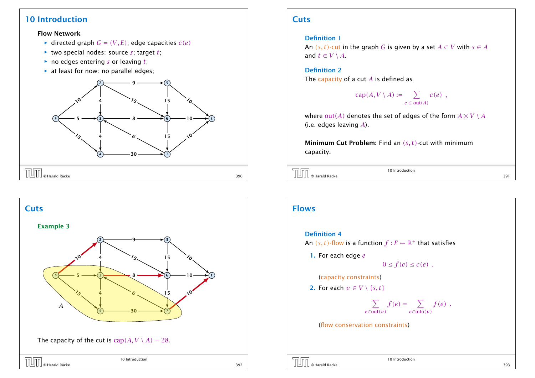## 10 Introduction

### Flow Network

- $\blacktriangleright$  directed graph  $G = (V, E)$ ; edge capacities  $c(e)$
- $\blacktriangleright$  two special nodes: source *s*; target *t*;
- $\triangleright$  no edges entering *s* or leaving *t*;
- $\blacktriangleright$  at least for now: no parallel edges;





# **Cuts**

### Definition 1

An  $(s, t)$ -cut in the graph *G* is given by a set  $A \subset V$  with  $s \in A$ and  $t \in V \setminus A$ .

Definition 2 The capacity of a cut *A* is defined as

$$
cap(A, V \setminus A) := \sum_{e \in out(A)} c(e) ,
$$

where  $out(A)$  denotes the set of edges of the form  $A \times V \setminus A$ (i.e. edges leaving *A*).

Minimum Cut Problem: Find an *(s, t)*-cut with minimum capacity.

```
\boxed{\prod\limits_{\emptyset\text{ }}} Harald Räcke 391 \boxed{391}
```
10 Introduction

## Flows

### Definition 4

An  $(s, t)$ -flow is a function  $f : E \mapsto \mathbb{R}^+$  that satisfies

1. For each edge *e*

 $0 \le f(e) \le c(e)$ .

(capacity constraints)

2. For each  $v \in V \setminus \{s, t\}$ 

$$
\sum_{e \in \text{out}(v)} f(e) = \sum_{e \in \text{into}(v)} f(e) .
$$

(flow conservation constraints)

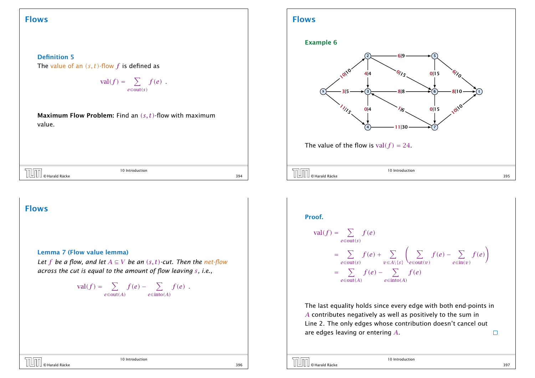## Flows



$$
\mathrm{val}(f) = \sum_{e \in \mathrm{out}(s)} f(e) .
$$

Maximum Flow Problem: Find an *(s, t)*-flow with maximum value.



Proof.

Flows

$$
\text{val}(f) = \sum_{e \in \text{out}(s)} f(e)
$$
\n
$$
= \sum_{e \in \text{out}(s)} f(e) + \sum_{v \in A \setminus \{s\}} \left( \sum_{e \in \text{out}(v)} f(e) - \sum_{e \in \text{in}(v)} f(e) \right)
$$
\n
$$
= \sum_{e \in \text{out}(A)} f(e) - \sum_{e \in \text{into}(A)} f(e)
$$

The last equality holds since every edge with both end-points in *A* contributes negatively as well as positively to the sum in Line 2. The only edges whose contribution doesn't cancel out are edges leaving or entering *A*.  $\Box$ 

| $\left[\begin{array}{ccc} \boxed{1} & \phantom{1} & \phantom{1} & \phantom{1} \\ \phantom{1} & \phantom{1} & \phantom{1} & \phantom{1} \\ \phantom{1} & \phantom{1} & \phantom{1} & \phantom{1} \\ \phantom{1} & \phantom{1} & \phantom{1} & \phantom{1} \\ \phantom{1} & \phantom{1} & \phantom{1} & \phantom{1} \\ \phantom{1} & \phantom{1} & \phantom{1} & \phantom{1} \\ \phantom{1} & \phantom{1} & \phantom{1} & \phantom{1} \\ \phantom{1} & \phantom{1} & \phant$ | 10 Introduction |     |
|----------------------------------------------------------------------------------------------------------------------------------------------------------------------------------------------------------------------------------------------------------------------------------------------------------------------------------------------------------------------------------------------------------------------------------------------------------------------------|-----------------|-----|
|                                                                                                                                                                                                                                                                                                                                                                                                                                                                            |                 | 394 |

Flows

Lemma 7 (Flow value lemma)

*Let f be a flow, and let*  $A \subseteq V$  *be an*  $(s, t)$ *-cut. Then the net-flow across the cut is equal to the amount of flow leaving s, i.e.,*

$$
\operatorname{val}(f) = \sum_{e \in \operatorname{out}(A)} f(e) - \sum_{e \in \operatorname{into}(A)} f(e) .
$$

© Harald Räcke 396

10 Introduction